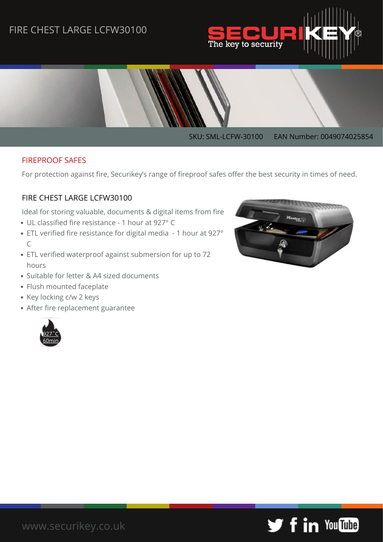## FIRE CHEST LARGE LCFW30100





#### FIREPROOF SAFES

For protection against fire, Securikey's range of fireproof safes offer the best security in times of need.

#### FIRE CHEST LARGE LCFW30100

Ideal for storing valuable, documents & digital items from fire

- UL classified fire resistance 1 hour at 927° C
- ETL verified fire resistance for digital media 1 hour at 927° C
- ETL verified waterproof against submersion for up to 72 hours
- Suitable for letter & A4 sized documents
- Flush mounted faceplate
- Key locking c/w 2 keys
- After fire replacement guarantee





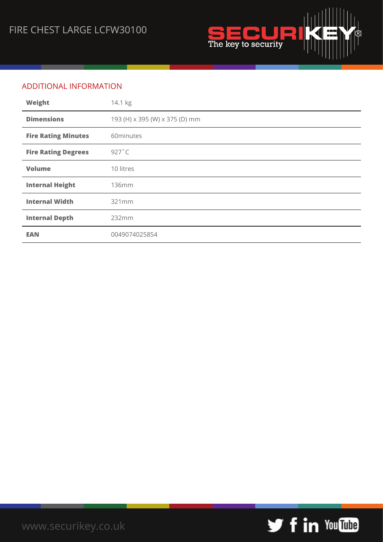

### ADDITIONAL INFORMATION

| Weight                     | 14.1 kg                        |
|----------------------------|--------------------------------|
| <b>Dimensions</b>          | 193 (H) x 395 (W) x 375 (D) mm |
| <b>Fire Rating Minutes</b> | 60minutes                      |
| <b>Fire Rating Degrees</b> | $927^\circ C$                  |
| <b>Volume</b>              | 10 litres                      |
| <b>Internal Height</b>     | <b>136mm</b>                   |
| <b>Internal Width</b>      | 321mm                          |
| <b>Internal Depth</b>      | 232mm                          |
| <b>EAN</b>                 | 0049074025854                  |